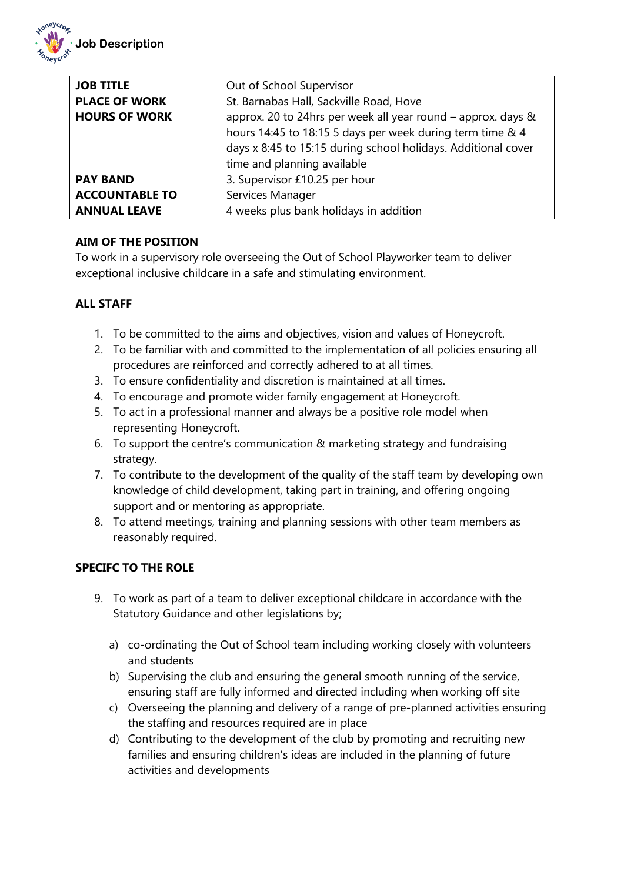

| <b>JOB TITLE</b><br><b>PLACE OF WORK</b><br><b>HOURS OF WORK</b> | Out of School Supervisor<br>St. Barnabas Hall, Sackville Road, Hove<br>approx. 20 to 24hrs per week all year round - approx. days &<br>hours 14:45 to 18:15 5 days per week during term time & 4<br>days x 8:45 to 15:15 during school holidays. Additional cover<br>time and planning available |
|------------------------------------------------------------------|--------------------------------------------------------------------------------------------------------------------------------------------------------------------------------------------------------------------------------------------------------------------------------------------------|
| <b>PAY BAND</b>                                                  | 3. Supervisor £10.25 per hour                                                                                                                                                                                                                                                                    |
| <b>ACCOUNTABLE TO</b>                                            | Services Manager                                                                                                                                                                                                                                                                                 |
| <b>ANNUAL LEAVE</b>                                              | 4 weeks plus bank holidays in addition                                                                                                                                                                                                                                                           |

## **AIM OF THE POSITION**

To work in a supervisory role overseeing the Out of School Playworker team to deliver exceptional inclusive childcare in a safe and stimulating environment.

## **ALL STAFF**

- 1. To be committed to the aims and objectives, vision and values of Honeycroft.
- 2. To be familiar with and committed to the implementation of all policies ensuring all procedures are reinforced and correctly adhered to at all times.
- 3. To ensure confidentiality and discretion is maintained at all times.
- 4. To encourage and promote wider family engagement at Honeycroft.
- 5. To act in a professional manner and always be a positive role model when representing Honeycroft.
- 6. To support the centre's communication & marketing strategy and fundraising strategy.
- 7. To contribute to the development of the quality of the staff team by developing own knowledge of child development, taking part in training, and offering ongoing support and or mentoring as appropriate.
- 8. To attend meetings, training and planning sessions with other team members as reasonably required.

## **SPECIFC TO THE ROLE**

- 9. To work as part of a team to deliver exceptional childcare in accordance with the Statutory Guidance and other legislations by;
	- a) co-ordinating the Out of School team including working closely with volunteers and students
	- b) Supervising the club and ensuring the general smooth running of the service, ensuring staff are fully informed and directed including when working off site
	- c) Overseeing the planning and delivery of a range of pre-planned activities ensuring the staffing and resources required are in place
	- d) Contributing to the development of the club by promoting and recruiting new families and ensuring children's ideas are included in the planning of future activities and developments